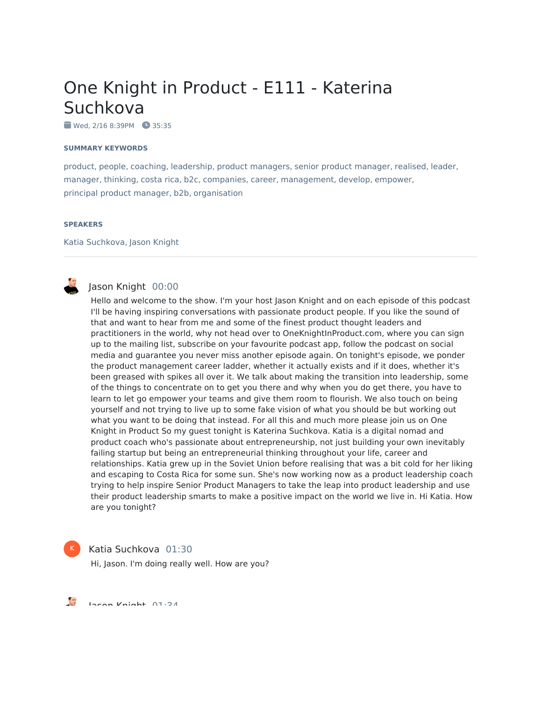# One Knight in Product - E111 - Katerina Suchkova

Wed, 2/16 8:39PM 35:35

#### **SUMMARY KEYWORDS**

product, people, coaching, leadership, product managers, senior product manager, realised, leader, manager, thinking, costa rica, b2c, companies, career, management, develop, empower, principal product manager, b2b, organisation

#### **SPEAKERS**

Katia Suchkova, Jason Knight



K

# Jason Knight 00:00

Hello and welcome to the show. I'm your host Jason Knight and on each episode of this podcast I'll be having inspiring conversations with passionate product people. If you like the sound of that and want to hear from me and some of the finest product thought leaders and practitioners in the world, why not head over to OneKnightInProduct.com, where you can sign up to the mailing list, subscribe on your favourite podcast app, follow the podcast on social media and guarantee you never miss another episode again. On tonight's episode, we ponder the product management career ladder, whether it actually exists and if it does, whether it's been greased with spikes all over it. We talk about making the transition into leadership, some of the things to concentrate on to get you there and why when you do get there, you have to learn to let go empower your teams and give them room to flourish. We also touch on being yourself and not trying to live up to some fake vision of what you should be but working out what you want to be doing that instead. For all this and much more please join us on One Knight in Product So my guest tonight is Katerina Suchkova. Katia is a digital nomad and product coach who's passionate about entrepreneurship, not just building your own inevitably failing startup but being an entrepreneurial thinking throughout your life, career and relationships. Katia grew up in the Soviet Union before realising that was a bit cold for her liking and escaping to Costa Rica for some sun. She's now working now as a product leadership coach trying to help inspire Senior Product Managers to take the leap into product leadership and use their product leadership smarts to make a positive impact on the world we live in. Hi Katia. How are you tonight?

Katia Suchkova 01:30 Hi, Jason. I'm doing really well. How are you?

 $\frac{1}{2}$ Jason Knight 01:34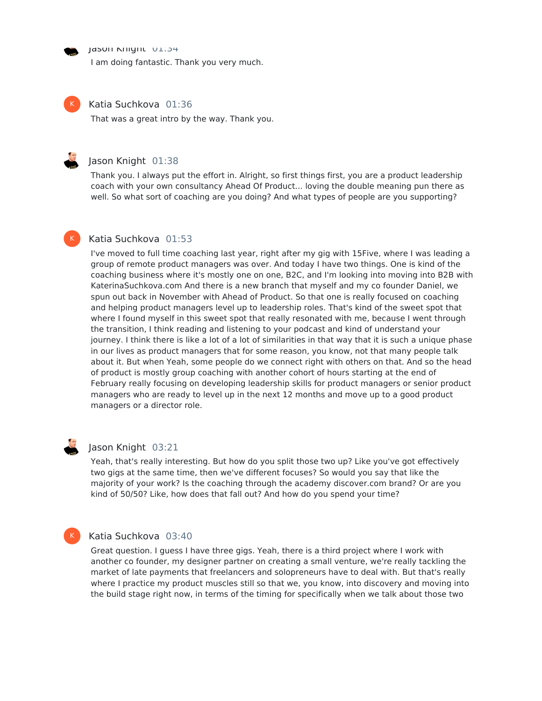Jason Knight 01:34

I am doing fantastic. Thank you very much.



K

#### Katia Suchkova 01:36

That was a great intro by the way. Thank you.

#### Jason Knight 01:38

Thank you. I always put the effort in. Alright, so first things first, you are a product leadership coach with your own consultancy Ahead Of Product... loving the double meaning pun there as well. So what sort of coaching are you doing? And what types of people are you supporting?

# Katia Suchkova 01:53

I've moved to full time coaching last year, right after my gig with 15Five, where I was leading a group of remote product managers was over. And today I have two things. One is kind of the coaching business where it's mostly one on one, B2C, and I'm looking into moving into B2B with KaterinaSuchkova.com And there is a new branch that myself and my co founder Daniel, we spun out back in November with Ahead of Product. So that one is really focused on coaching and helping product managers level up to leadership roles. That's kind of the sweet spot that where I found myself in this sweet spot that really resonated with me, because I went through the transition, I think reading and listening to your podcast and kind of understand your journey. I think there is like a lot of a lot of similarities in that way that it is such a unique phase in our lives as product managers that for some reason, you know, not that many people talk about it. But when Yeah, some people do we connect right with others on that. And so the head of product is mostly group coaching with another cohort of hours starting at the end of February really focusing on developing leadership skills for product managers or senior product managers who are ready to level up in the next 12 months and move up to a good product managers or a director role.



#### Jason Knight 03:21

Yeah, that's really interesting. But how do you split those two up? Like you've got effectively two gigs at the same time, then we've different focuses? So would you say that like the majority of your work? Is the coaching through the academy discover.com brand? Or are you kind of 50/50? Like, how does that fall out? And how do you spend your time?

#### K

#### Katia Suchkova 03:40

Great question. I guess I have three gigs. Yeah, there is a third project where I work with another co founder, my designer partner on creating a small venture, we're really tackling the market of late payments that freelancers and solopreneurs have to deal with. But that's really where I practice my product muscles still so that we, you know, into discovery and moving into the build stage right now, in terms of the timing for specifically when we talk about those two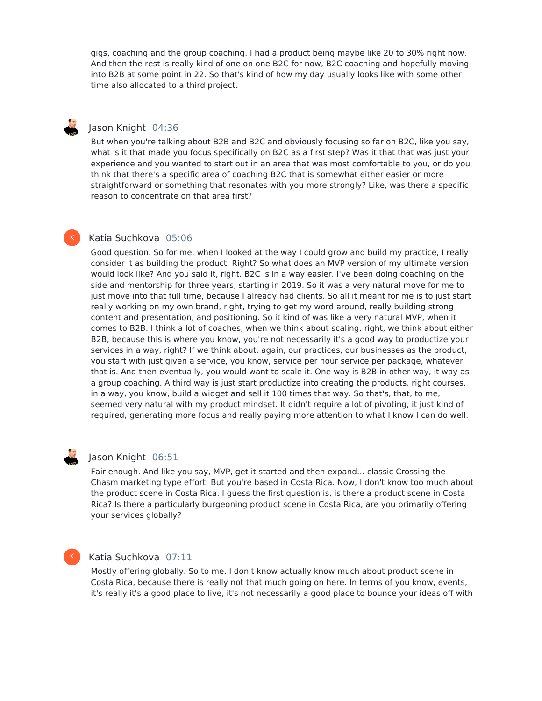gigs, coaching and the group coaching. I had a product being maybe like 20 to 30% right now. And then the rest is really kind of one on one B2C for now, B2C coaching and hopefully moving into B2B at some point in 22. So that's kind of how my day usually looks like with some other time also allocated to a third project.

# Jason Knight 04:36

But when you're talking about B2B and B2C and obviously focusing so far on B2C, like you say, what is it that made you focus specifically on B2C as a first step? Was it that that was just your experience and you wanted to start out in an area that was most comfortable to you, or do you think that there's a specific area of coaching B2C that is somewhat either easier or more straightforward or something that resonates with you more strongly? Like, was there a specific reason to concentrate on that area first?

# Katia Suchkova 05:06

Good question. So for me, when I looked at the way I could grow and build my practice, I really consider it as building the product. Right? So what does an MVP version of my ultimate version would look like? And you said it, right. B2C is in a way easier. I've been doing coaching on the side and mentorship for three years, starting in 2019. So it was a very natural move for me to just move into that full time, because I already had clients. So all it meant for me is to just start really working on my own brand, right, trying to get my word around, really building strong content and presentation, and positioning. So it kind of was like a very natural MVP, when it comes to B2B. I think a lot of coaches, when we think about scaling, right, we think about either B2B, because this is where you know, you're not necessarily it's a good way to productize your services in a way, right? If we think about, again, our practices, our businesses as the product, you start with just given a service, you know, service per hour service per package, whatever that is. And then eventually, you would want to scale it. One way is B2B in other way, it way as a group coaching. A third way is just start productize into creating the products, right courses, in a way, you know, build a widget and sell it 100 times that way. So that's, that, to me, seemed very natural with my product mindset. It didn't require a lot of pivoting, it just kind of required, generating more focus and really paying more attention to what I know I can do well.

K

# Jason Knight 06:51

Fair enough. And like you say, MVP, get it started and then expand... classic Crossing the Chasm marketing type effort. But you're based in Costa Rica. Now, I don't know too much about the product scene in Costa Rica. I guess the first question is, is there a product scene in Costa Rica? Is there a particularly burgeoning product scene in Costa Rica, are you primarily offering your services globally?

# K

#### Katia Suchkova 07:11

Mostly offering globally. So to me, I don't know actually know much about product scene in Costa Rica, because there is really not that much going on here. In terms of you know, events, it's really it's a good place to live, it's not necessarily a good place to bounce your ideas off with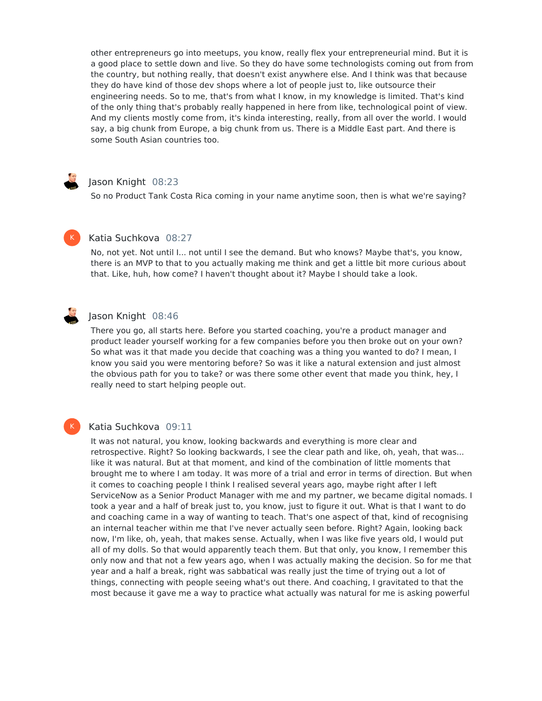other entrepreneurs go into meetups, you know, really flex your entrepreneurial mind. But it is a good place to settle down and live. So they do have some technologists coming out from from the country, but nothing really, that doesn't exist anywhere else. And I think was that because they do have kind of those dev shops where a lot of people just to, like outsource their engineering needs. So to me, that's from what I know, in my knowledge is limited. That's kind of the only thing that's probably really happened in here from like, technological point of view. And my clients mostly come from, it's kinda interesting, really, from all over the world. I would say, a big chunk from Europe, a big chunk from us. There is a Middle East part. And there is some South Asian countries too.

# Jason Knight 08:23

So no Product Tank Costa Rica coming in your name anytime soon, then is what we're saying?



#### Katia Suchkova 08:27

No, not yet. Not until I... not until I see the demand. But who knows? Maybe that's, you know, there is an MVP to that to you actually making me think and get a little bit more curious about that. Like, huh, how come? I haven't thought about it? Maybe I should take a look.



# Jason Knight 08:46

There you go, all starts here. Before you started coaching, you're a product manager and product leader yourself working for a few companies before you then broke out on your own? So what was it that made you decide that coaching was a thing you wanted to do? I mean, I know you said you were mentoring before? So was it like a natural extension and just almost the obvious path for you to take? or was there some other event that made you think, hey, I really need to start helping people out.

# K

#### Katia Suchkova 09:11

It was not natural, you know, looking backwards and everything is more clear and retrospective. Right? So looking backwards, I see the clear path and like, oh, yeah, that was... like it was natural. But at that moment, and kind of the combination of little moments that brought me to where I am today. It was more of a trial and error in terms of direction. But when it comes to coaching people I think I realised several years ago, maybe right after I left ServiceNow as a Senior Product Manager with me and my partner, we became digital nomads. I took a year and a half of break just to, you know, just to figure it out. What is that I want to do and coaching came in a way of wanting to teach. That's one aspect of that, kind of recognising an internal teacher within me that I've never actually seen before. Right? Again, looking back now, I'm like, oh, yeah, that makes sense. Actually, when I was like five years old, I would put all of my dolls. So that would apparently teach them. But that only, you know, I remember this only now and that not a few years ago, when I was actually making the decision. So for me that year and a half a break, right was sabbatical was really just the time of trying out a lot of things, connecting with people seeing what's out there. And coaching, I gravitated to that the most because it gave me a way to practice what actually was natural for me is asking powerful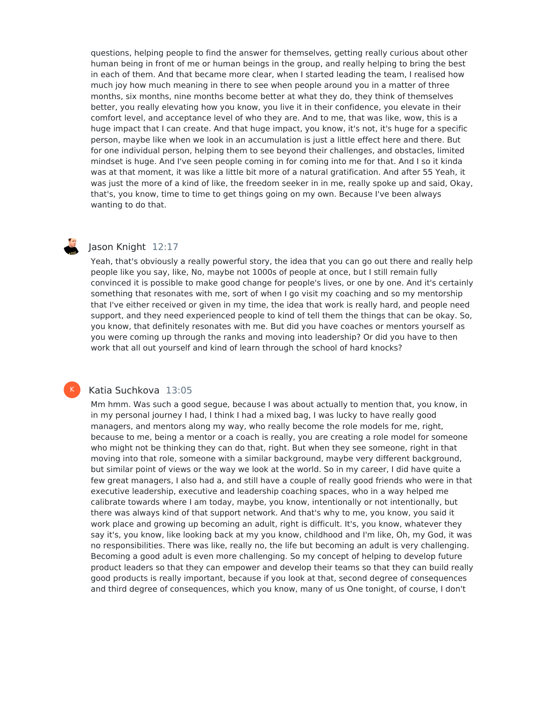questions, helping people to find the answer for themselves, getting really curious about other human being in front of me or human beings in the group, and really helping to bring the best in each of them. And that became more clear, when I started leading the team, I realised how much joy how much meaning in there to see when people around you in a matter of three months, six months, nine months become better at what they do, they think of themselves better, you really elevating how you know, you live it in their confidence, you elevate in their comfort level, and acceptance level of who they are. And to me, that was like, wow, this is a huge impact that I can create. And that huge impact, you know, it's not, it's huge for a specific person, maybe like when we look in an accumulation is just a little effect here and there. But for one individual person, helping them to see beyond their challenges, and obstacles, limited mindset is huge. And I've seen people coming in for coming into me for that. And I so it kinda was at that moment, it was like a little bit more of a natural gratification. And after 55 Yeah, it was just the more of a kind of like, the freedom seeker in in me, really spoke up and said, Okay, that's, you know, time to time to get things going on my own. Because I've been always wanting to do that.

# Jason Knight 12:17

Yeah, that's obviously a really powerful story, the idea that you can go out there and really help people like you say, like, No, maybe not 1000s of people at once, but I still remain fully convinced it is possible to make good change for people's lives, or one by one. And it's certainly something that resonates with me, sort of when I go visit my coaching and so my mentorship that I've either received or given in my time, the idea that work is really hard, and people need support, and they need experienced people to kind of tell them the things that can be okay. So, you know, that definitely resonates with me. But did you have coaches or mentors yourself as you were coming up through the ranks and moving into leadership? Or did you have to then work that all out yourself and kind of learn through the school of hard knocks?

#### Katia Suchkova 13:05

K

Mm hmm. Was such a good segue, because I was about actually to mention that, you know, in in my personal journey I had, I think I had a mixed bag, I was lucky to have really good managers, and mentors along my way, who really become the role models for me, right, because to me, being a mentor or a coach is really, you are creating a role model for someone who might not be thinking they can do that, right. But when they see someone, right in that moving into that role, someone with a similar background, maybe very different background, but similar point of views or the way we look at the world. So in my career, I did have quite a few great managers, I also had a, and still have a couple of really good friends who were in that executive leadership, executive and leadership coaching spaces, who in a way helped me calibrate towards where I am today, maybe, you know, intentionally or not intentionally, but there was always kind of that support network. And that's why to me, you know, you said it work place and growing up becoming an adult, right is difficult. It's, you know, whatever they say it's, you know, like looking back at my you know, childhood and I'm like, Oh, my God, it was no responsibilities. There was like, really no, the life but becoming an adult is very challenging. Becoming a good adult is even more challenging. So my concept of helping to develop future product leaders so that they can empower and develop their teams so that they can build really good products is really important, because if you look at that, second degree of consequences and third degree of consequences, which you know, many of us One tonight, of course, I don't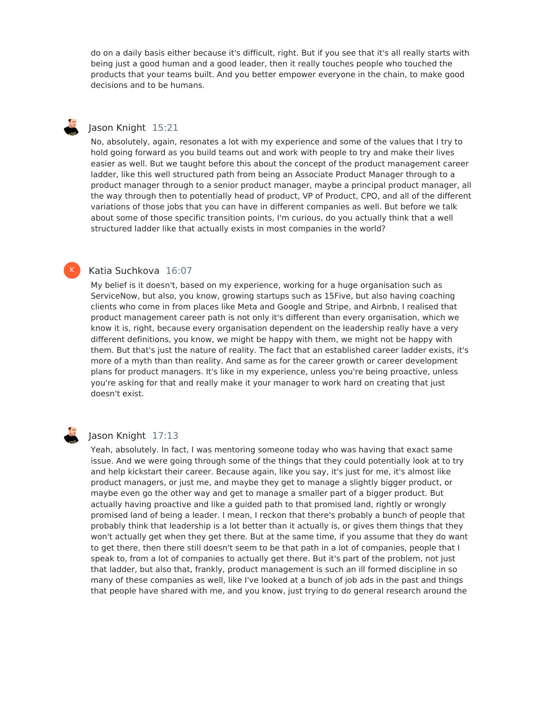do on a daily basis either because it's difficult, right. But if you see that it's all really starts with being just a good human and a good leader, then it really touches people who touched the products that your teams built. And you better empower everyone in the chain, to make good decisions and to be humans.

# Jason Knight 15:21

No, absolutely, again, resonates a lot with my experience and some of the values that I try to hold going forward as you build teams out and work with people to try and make their lives easier as well. But we taught before this about the concept of the product management career ladder, like this well structured path from being an Associate Product Manager through to a product manager through to a senior product manager, maybe a principal product manager, all the way through then to potentially head of product, VP of Product, CPO, and all of the different variations of those jobs that you can have in different companies as well. But before we talk about some of those specific transition points, I'm curious, do you actually think that a well structured ladder like that actually exists in most companies in the world?

# Katia Suchkova 16:07

My belief is it doesn't, based on my experience, working for a huge organisation such as ServiceNow, but also, you know, growing startups such as 15Five, but also having coaching clients who come in from places like Meta and Google and Stripe, and Airbnb, I realised that product management career path is not only it's different than every organisation, which we know it is, right, because every organisation dependent on the leadership really have a very different definitions, you know, we might be happy with them, we might not be happy with them. But that's just the nature of reality. The fact that an established career ladder exists, it's more of a myth than than reality. And same as for the career growth or career development plans for product managers. It's like in my experience, unless you're being proactive, unless you're asking for that and really make it your manager to work hard on creating that just doesn't exist.



K

# Jason Knight 17:13

Yeah, absolutely. In fact, I was mentoring someone today who was having that exact same issue. And we were going through some of the things that they could potentially look at to try and help kickstart their career. Because again, like you say, it's just for me, it's almost like product managers, or just me, and maybe they get to manage a slightly bigger product, or maybe even go the other way and get to manage a smaller part of a bigger product. But actually having proactive and like a guided path to that promised land, rightly or wrongly promised land of being a leader. I mean, I reckon that there's probably a bunch of people that probably think that leadership is a lot better than it actually is, or gives them things that they won't actually get when they get there. But at the same time, if you assume that they do want to get there, then there still doesn't seem to be that path in a lot of companies, people that I speak to, from a lot of companies to actually get there. But it's part of the problem, not just that ladder, but also that, frankly, product management is such an ill formed discipline in so many of these companies as well, like I've looked at a bunch of job ads in the past and things that people have shared with me, and you know, just trying to do general research around the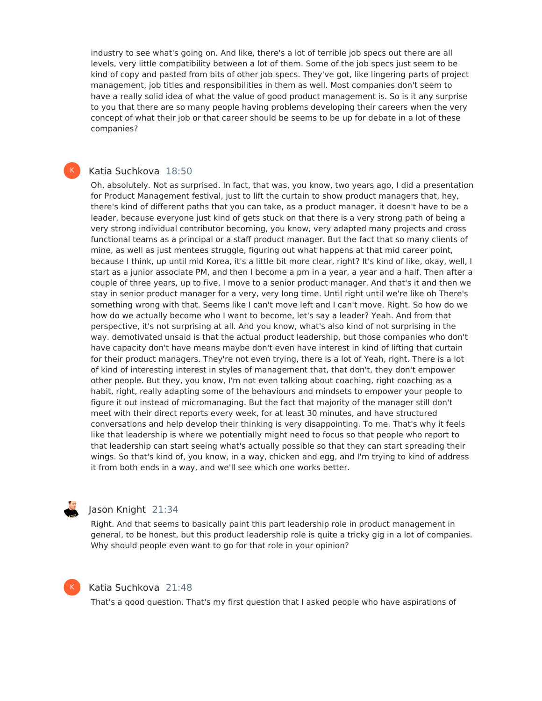industry to see what's going on. And like, there's a lot of terrible job specs out there are all levels, very little compatibility between a lot of them. Some of the job specs just seem to be kind of copy and pasted from bits of other job specs. They've got, like lingering parts of project management, job titles and responsibilities in them as well. Most companies don't seem to have a really solid idea of what the value of good product management is. So is it any surprise to you that there are so many people having problems developing their careers when the very concept of what their job or that career should be seems to be up for debate in a lot of these companies?

# Katia Suchkova 18:50

K

Oh, absolutely. Not as surprised. In fact, that was, you know, two years ago, I did a presentation for Product Management festival, just to lift the curtain to show product managers that, hey, there's kind of different paths that you can take, as a product manager, it doesn't have to be a leader, because everyone just kind of gets stuck on that there is a very strong path of being a very strong individual contributor becoming, you know, very adapted many projects and cross functional teams as a principal or a staff product manager. But the fact that so many clients of mine, as well as just mentees struggle, figuring out what happens at that mid career point, because I think, up until mid Korea, it's a little bit more clear, right? It's kind of like, okay, well, I start as a junior associate PM, and then I become a pm in a year, a year and a half. Then after a couple of three years, up to five, I move to a senior product manager. And that's it and then we stay in senior product manager for a very, very long time. Until right until we're like oh There's something wrong with that. Seems like I can't move left and I can't move. Right. So how do we how do we actually become who I want to become, let's say a leader? Yeah. And from that perspective, it's not surprising at all. And you know, what's also kind of not surprising in the way. demotivated unsaid is that the actual product leadership, but those companies who don't have capacity don't have means maybe don't even have interest in kind of lifting that curtain for their product managers. They're not even trying, there is a lot of Yeah, right. There is a lot of kind of interesting interest in styles of management that, that don't, they don't empower other people. But they, you know, I'm not even talking about coaching, right coaching as a habit, right, really adapting some of the behaviours and mindsets to empower your people to figure it out instead of micromanaging. But the fact that majority of the manager still don't meet with their direct reports every week, for at least 30 minutes, and have structured conversations and help develop their thinking is very disappointing. To me. That's why it feels like that leadership is where we potentially might need to focus so that people who report to that leadership can start seeing what's actually possible so that they can start spreading their wings. So that's kind of, you know, in a way, chicken and egg, and I'm trying to kind of address it from both ends in a way, and we'll see which one works better.

# Jason Knight 21:34

Right. And that seems to basically paint this part leadership role in product management in general, to be honest, but this product leadership role is quite a tricky gig in a lot of companies. Why should people even want to go for that role in your opinion?



#### Katia Suchkova 21:48

That's a good question. That's my first question that I asked people who have aspirations of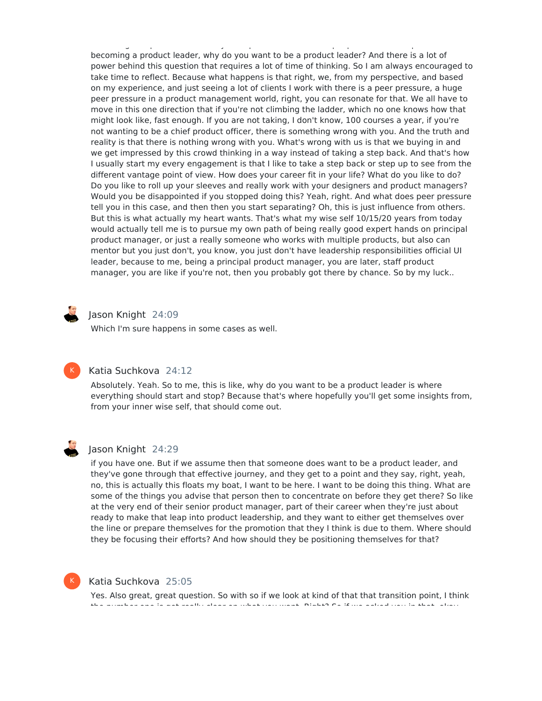That's a good question. That's my first question that I asked people who have aspirations of becoming a product leader, why do you want to be a product leader? And there is a lot of power behind this question that requires a lot of time of thinking. So I am always encouraged to take time to reflect. Because what happens is that right, we, from my perspective, and based on my experience, and just seeing a lot of clients I work with there is a peer pressure, a huge peer pressure in a product management world, right, you can resonate for that. We all have to move in this one direction that if you're not climbing the ladder, which no one knows how that might look like, fast enough. If you are not taking, I don't know, 100 courses a year, if you're not wanting to be a chief product officer, there is something wrong with you. And the truth and reality is that there is nothing wrong with you. What's wrong with us is that we buying in and we get impressed by this crowd thinking in a way instead of taking a step back. And that's how I usually start my every engagement is that I like to take a step back or step up to see from the different vantage point of view. How does your career fit in your life? What do you like to do? Do you like to roll up your sleeves and really work with your designers and product managers? Would you be disappointed if you stopped doing this? Yeah, right. And what does peer pressure tell you in this case, and then then you start separating? Oh, this is just influence from others. But this is what actually my heart wants. That's what my wise self 10/15/20 years from today would actually tell me is to pursue my own path of being really good expert hands on principal product manager, or just a really someone who works with multiple products, but also can mentor but you just don't, you know, you just don't have leadership responsibilities official UI leader, because to me, being a principal product manager, you are later, staff product manager, you are like if you're not, then you probably got there by chance. So by my luck..



#### Jason Knight 24:09

Which I'm sure happens in some cases as well.



# Katia Suchkova 24:12

Absolutely. Yeah. So to me, this is like, why do you want to be a product leader is where everything should start and stop? Because that's where hopefully you'll get some insights from, from your inner wise self, that should come out.



#### Jason Knight 24:29

if you have one. But if we assume then that someone does want to be a product leader, and they've gone through that effective journey, and they get to a point and they say, right, yeah, no, this is actually this floats my boat, I want to be here. I want to be doing this thing. What are some of the things you advise that person then to concentrate on before they get there? So like at the very end of their senior product manager, part of their career when they're just about ready to make that leap into product leadership, and they want to either get themselves over the line or prepare themselves for the promotion that they I think is due to them. Where should they be focusing their efforts? And how should they be positioning themselves for that?



#### Katia Suchkova 25:05

Yes. Also great, great question. So with so if we look at kind of that that transition point, I think the number one is get really clear on what you want. Right? So if we asked you in that, okay,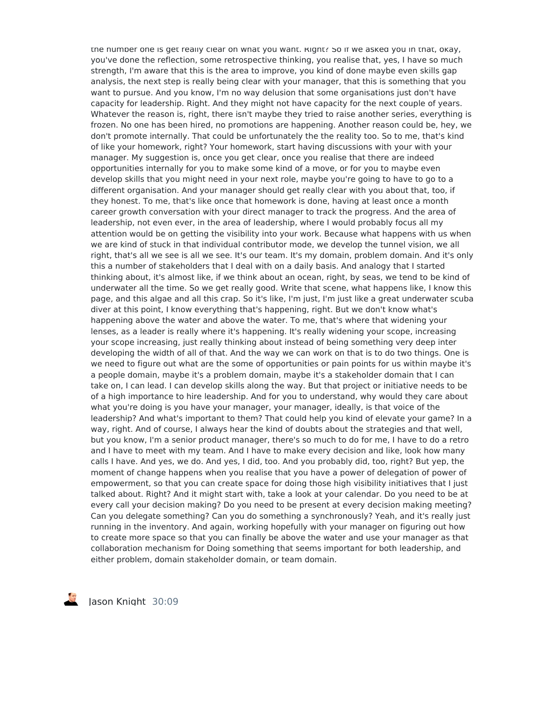the number one is get really clear on what you want. Right? So if we asked you in that, okay, you've done the reflection, some retrospective thinking, you realise that, yes, I have so much strength, I'm aware that this is the area to improve, you kind of done maybe even skills gap analysis, the next step is really being clear with your manager, that this is something that you want to pursue. And you know, I'm no way delusion that some organisations just don't have capacity for leadership. Right. And they might not have capacity for the next couple of years. Whatever the reason is, right, there isn't maybe they tried to raise another series, everything is frozen. No one has been hired, no promotions are happening. Another reason could be, hey, we don't promote internally. That could be unfortunately the the reality too. So to me, that's kind of like your homework, right? Your homework, start having discussions with your with your manager. My suggestion is, once you get clear, once you realise that there are indeed opportunities internally for you to make some kind of a move, or for you to maybe even develop skills that you might need in your next role, maybe you're going to have to go to a different organisation. And your manager should get really clear with you about that, too, if they honest. To me, that's like once that homework is done, having at least once a month career growth conversation with your direct manager to track the progress. And the area of leadership, not even ever, in the area of leadership, where I would probably focus all my attention would be on getting the visibility into your work. Because what happens with us when we are kind of stuck in that individual contributor mode, we develop the tunnel vision, we all right, that's all we see is all we see. It's our team. It's my domain, problem domain. And it's only this a number of stakeholders that I deal with on a daily basis. And analogy that I started thinking about, it's almost like, if we think about an ocean, right, by seas, we tend to be kind of underwater all the time. So we get really good. Write that scene, what happens like, I know this page, and this algae and all this crap. So it's like, I'm just, I'm just like a great underwater scuba diver at this point, I know everything that's happening, right. But we don't know what's happening above the water and above the water. To me, that's where that widening your lenses, as a leader is really where it's happening. It's really widening your scope, increasing your scope increasing, just really thinking about instead of being something very deep inter developing the width of all of that. And the way we can work on that is to do two things. One is we need to figure out what are the some of opportunities or pain points for us within maybe it's a people domain, maybe it's a problem domain, maybe it's a stakeholder domain that I can take on, I can lead. I can develop skills along the way. But that project or initiative needs to be of a high importance to hire leadership. And for you to understand, why would they care about what you're doing is you have your manager, your manager, ideally, is that voice of the leadership? And what's important to them? That could help you kind of elevate your game? In a way, right. And of course, I always hear the kind of doubts about the strategies and that well, but you know, I'm a senior product manager, there's so much to do for me, I have to do a retro and I have to meet with my team. And I have to make every decision and like, look how many calls I have. And yes, we do. And yes, I did, too. And you probably did, too, right? But yep, the moment of change happens when you realise that you have a power of delegation of power of empowerment, so that you can create space for doing those high visibility initiatives that I just talked about. Right? And it might start with, take a look at your calendar. Do you need to be at every call your decision making? Do you need to be present at every decision making meeting? Can you delegate something? Can you do something a synchronously? Yeah, and it's really just running in the inventory. And again, working hopefully with your manager on figuring out how to create more space so that you can finally be above the water and use your manager as that collaboration mechanism for Doing something that seems important for both leadership, and either problem, domain stakeholder domain, or team domain.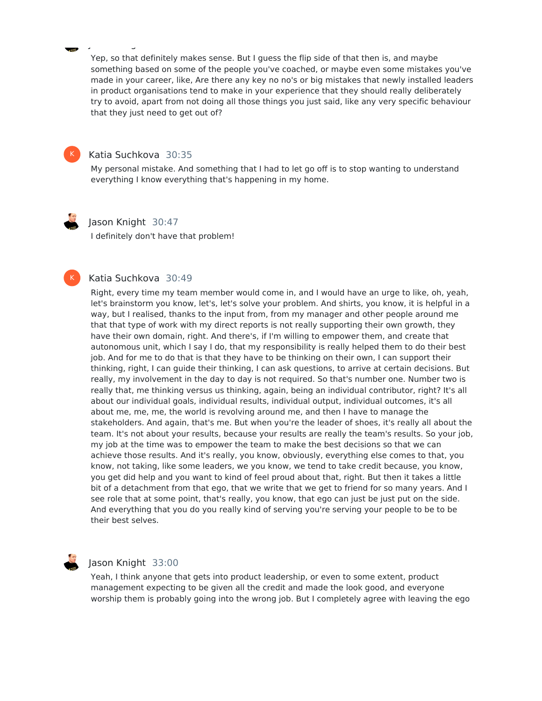Yep, so that definitely makes sense. But I guess the flip side of that then is, and maybe something based on some of the people you've coached, or maybe even some mistakes you've made in your career, like, Are there any key no no's or big mistakes that newly installed leaders in product organisations tend to make in your experience that they should really deliberately try to avoid, apart from not doing all those things you just said, like any very specific behaviour that they just need to get out of?



# Katia Suchkova 30:35

Jason Knight 30:09

My personal mistake. And something that I had to let go off is to stop wanting to understand everything I know everything that's happening in my home.

K

#### Jason Knight 30:47

I definitely don't have that problem!

#### Katia Suchkova 30:49

Right, every time my team member would come in, and I would have an urge to like, oh, yeah, let's brainstorm you know, let's, let's solve your problem. And shirts, you know, it is helpful in a way, but I realised, thanks to the input from, from my manager and other people around me that that type of work with my direct reports is not really supporting their own growth, they have their own domain, right. And there's, if I'm willing to empower them, and create that autonomous unit, which I say I do, that my responsibility is really helped them to do their best job. And for me to do that is that they have to be thinking on their own, I can support their thinking, right, I can guide their thinking, I can ask questions, to arrive at certain decisions. But really, my involvement in the day to day is not required. So that's number one. Number two is really that, me thinking versus us thinking, again, being an individual contributor, right? It's all about our individual goals, individual results, individual output, individual outcomes, it's all about me, me, me, the world is revolving around me, and then I have to manage the stakeholders. And again, that's me. But when you're the leader of shoes, it's really all about the team. It's not about your results, because your results are really the team's results. So your job, my job at the time was to empower the team to make the best decisions so that we can achieve those results. And it's really, you know, obviously, everything else comes to that, you know, not taking, like some leaders, we you know, we tend to take credit because, you know, you get did help and you want to kind of feel proud about that, right. But then it takes a little bit of a detachment from that ego, that we write that we get to friend for so many years. And I see role that at some point, that's really, you know, that ego can just be just put on the side. And everything that you do you really kind of serving you're serving your people to be to be their best selves.



#### Jason Knight 33:00

Yeah, I think anyone that gets into product leadership, or even to some extent, product management expecting to be given all the credit and made the look good, and everyone worship them is probably going into the wrong job. But I completely agree with leaving the ego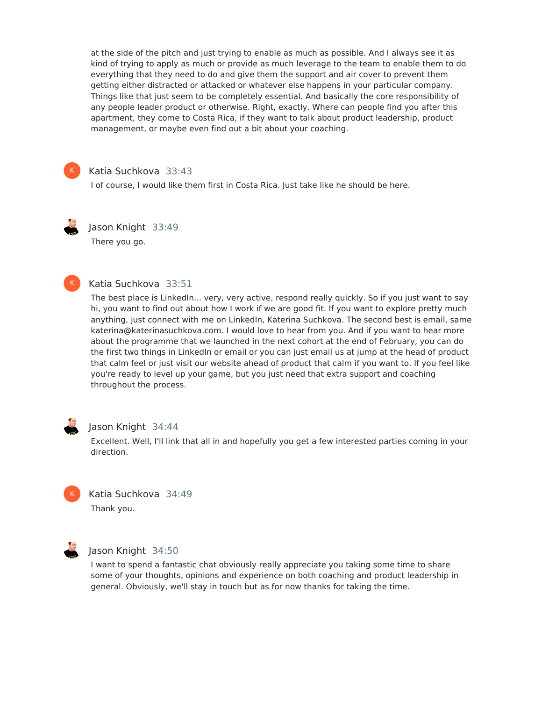at the side of the pitch and just trying to enable as much as possible. And I always see it as kind of trying to apply as much or provide as much leverage to the team to enable them to do everything that they need to do and give them the support and air cover to prevent them getting either distracted or attacked or whatever else happens in your particular company. Things like that just seem to be completely essential. And basically the core responsibility of any people leader product or otherwise. Right, exactly. Where can people find you after this apartment, they come to Costa Rica, if they want to talk about product leadership, product management, or maybe even find out a bit about your coaching.



### Katia Suchkova 33:43

I of course, I would like them first in Costa Rica. Just take like he should be here.



Jason Knight 33:49 There you go.



# Katia Suchkova 33:51

The best place is LinkedIn... very, very active, respond really quickly. So if you just want to say hi, you want to find out about how Iwork if we are good fit. If you want to explore pretty much anything, just connect with me on LinkedIn, Katerina Suchkova. The second best is email, same katerina@katerinasuchkova.com. I would love to hear from you. And if you want to hear more about the programme that we launched in the next cohort at the end of February, you can do the first two things in LinkedIn or email or you can just email us at jump at the head of product that calm feel or just visit our website ahead of product that calm if you want to. If you feel like you're ready to level up your game, but you just need that extra support and coaching throughout the process.



#### Jason Knight 34:44

Excellent. Well, I'll link that all in and hopefully you get a few interested parties coming in your direction.



# Katia Suchkova 34:49 Thank you.



# Jason Knight 34:50

I want to spend a fantastic chat obviously really appreciate you taking some time to share some of your thoughts, opinions and experience on both coaching and product leadership in general. Obviously, we'll stay in touch but as for now thanks for taking the time.